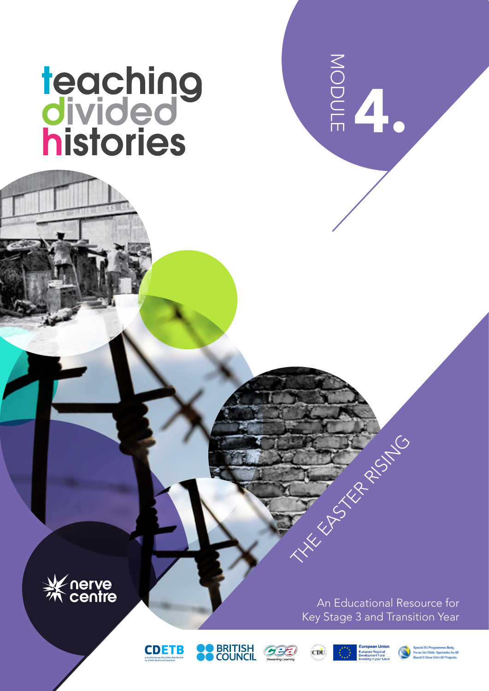# teaching<br>divided<br>histories



An Educational Resource for Key Stage 3 and Transition Year

4.

MODULE









THE EAST RISING



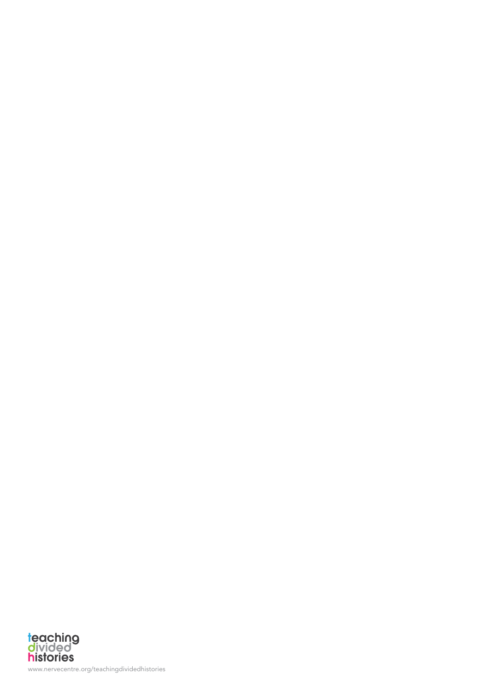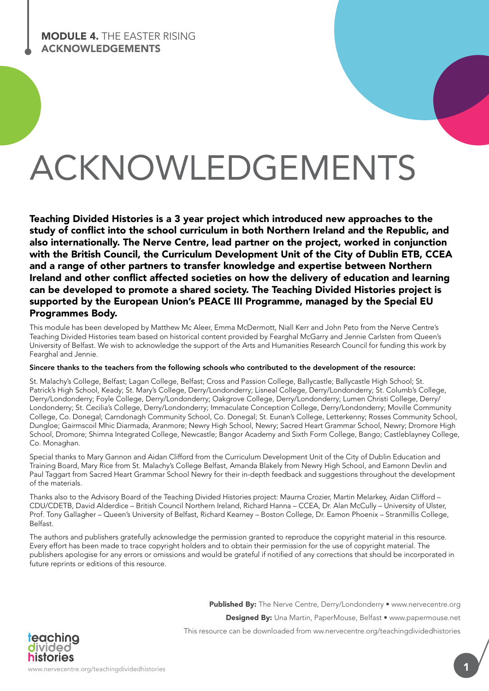# ACKNOWLEDGEMENTS

Teaching Divided Histories is a 3 year project which introduced new approaches to the study of conflict into the school curriculum in both Northern Ireland and the Republic, and also internationally. The Nerve Centre, lead partner on the project, worked in conjunction with the British Council, the Curriculum Development Unit of the City of Dublin ETB, CCEA and a range of other partners to transfer knowledge and expertise between Northern Ireland and other conflict affected societies on how the delivery of education and learning can be developed to promote a shared society. The Teaching Divided Histories project is supported by the European Union's PEACE III Programme, managed by the Special EU Programmes Body.

This module has been developed by Matthew Mc Aleer, Emma McDermott, Niall Kerr and John Peto from the Nerve Centre's Teaching Divided Histories team based on historical content provided by Fearghal McGarry and Jennie Carlsten from Queen's University of Belfast. We wish to acknowledge the support of the Arts and Humanities Research Council for funding this work by Fearghal and Jennie.

#### Sincere thanks to the teachers from the following schools who contributed to the development of the resource:

St. Malachy's College, Belfast; Lagan College, Belfast; Cross and Passion College, Ballycastle; Ballycastle High School; St. Patrick's High School, Keady; St. Mary's College, Derry/Londonderry; Lisneal College, Derry/Londonderry; St. Columb's College, Derry/Londonderry; Foyle College, Derry/Londonderry; Oakgrove College, Derry/Londonderry; Lumen Christi College, Derry/ Londonderry; St. Cecilia's College, Derry/Londonderry; Immaculate Conception College, Derry/Londonderry; Moville Community College, Co. Donegal; Carndonagh Community School, Co. Donegal; St. Eunan's College, Letterkenny; Rosses Community School, Dungloe; Gairmscoil Mhic Diarmada, Aranmore; Newry High School, Newry; Sacred Heart Grammar School, Newry; Dromore High School, Dromore; Shimna Integrated College, Newcastle; Bangor Academy and Sixth Form College, Bango; Castleblayney College, Co. Monaghan.

Special thanks to Mary Gannon and Aidan Clifford from the Curriculum Development Unit of the City of Dublin Education and Training Board, Mary Rice from St. Malachy's College Belfast, Amanda Blakely from Newry High School, and Eamonn Devlin and Paul Taggart from Sacred Heart Grammar School Newry for their in-depth feedback and suggestions throughout the development of the materials.

Thanks also to the Advisory Board of the Teaching Divided Histories project: Maurna Crozier, Martin Melarkey, Aidan Clifford – CDU/CDETB, David Alderdice – British Council Northern Ireland, Richard Hanna – CCEA, Dr. Alan McCully – University of Ulster, Prof. Tony Gallagher – Queen's University of Belfast, Richard Kearney – Boston College, Dr. Eamon Phoenix – Stranmillis College, Belfast.

The authors and publishers gratefully acknowledge the permission granted to reproduce the copyright material in this resource. Every effort has been made to trace copyright holders and to obtain their permission for the use of copyright material. The publishers apologise for any errors or omissions and would be grateful if notified of any corrections that should be incorporated in future reprints or editions of this resource.

Published By: The Nerve Centre, Derry/Londonderry • www.nervecentre.org

Designed By: Una Martin, PaperMouse, Belfast • www.papermouse.net

This resource can be downloaded from ww.nervecentre.org/teachingdividedhistories

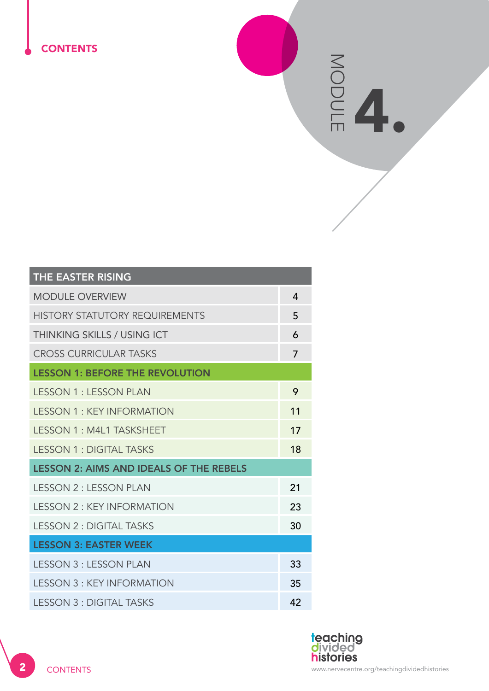# **CONTENTS**

ES<sub>ONE</sub> MODULE

| THE EASTER RISING                              |                |
|------------------------------------------------|----------------|
| <b>MODULE OVERVIEW</b>                         | 4              |
| <b>HISTORY STATUTORY REQUIREMENTS</b>          | 5              |
| THINKING SKILLS / USING ICT                    | 6              |
| <b>CROSS CURRICULAR TASKS</b>                  | $\overline{7}$ |
| <b>LESSON 1: BEFORE THE REVOLUTION</b>         |                |
| <b>LESSON 1: LESSON PLAN</b>                   | 9              |
| <b>LESSON 1: KEY INFORMATION</b>               | 11             |
| <b>LESSON 1: M4L1 TASKSHEET</b>                | 17             |
| <b>LESSON 1: DIGITAL TASKS</b>                 | 18             |
| <b>LESSON 2: AIMS AND IDEALS OF THE REBELS</b> |                |
| <b>I FSSON 2: LESSON PLAN</b>                  | 21             |
| <b>I ESSON 2: KEY INFORMATION</b>              | 23             |
| <b>LESSON 2: DIGITAL TASKS</b>                 | 30             |
| <b>LESSON 3: EASTER WEEK</b>                   |                |
| <b>LESSON 3 : LESSON PLAN</b>                  | 33             |
| <b>LESSON 3: KEY INFORMATION</b>               | 35             |
| <b>LESSON 3: DIGITAL TASKS</b>                 | 42             |

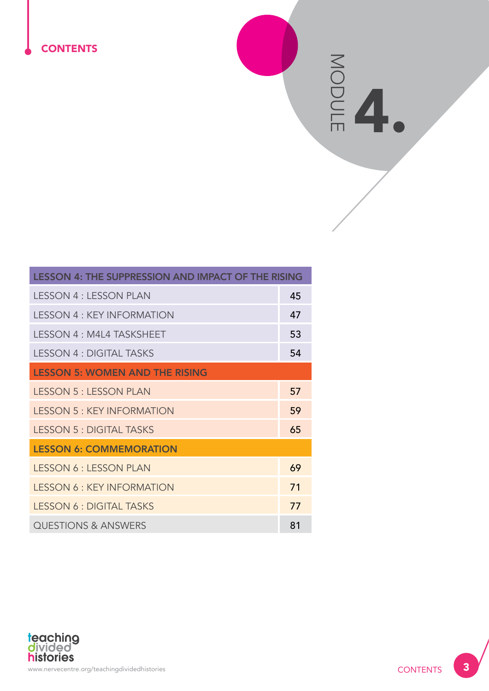# **CONTENTS**

ES<sub>O</sub> MODULE

| <b>LESSON 4: THE SUPPRESSION AND IMPACT OF THE RISING</b> |    |  |
|-----------------------------------------------------------|----|--|
| <b>LESSON 4 : LESSON PLAN</b>                             | 45 |  |
| <b>LESSON 4: KEY INFORMATION</b>                          | 47 |  |
| LESSON 4 : M4L4 TASKSHEET                                 | 53 |  |
| <b>LESSON 4: DIGITAL TASKS</b>                            | 54 |  |
| <b>LESSON 5: WOMEN AND THE RISING</b>                     |    |  |
| <b>LESSON 5 : LESSON PLAN</b>                             | 57 |  |
| <b>LESSON 5: KEY INFORMATION</b>                          | 59 |  |
| <b>LESSON 5: DIGITAL TASKS</b>                            | 65 |  |
| <b>LESSON 6: COMMEMORATION</b>                            |    |  |
| <b>LESSON 6: LESSON PLAN</b>                              | 69 |  |
| <b>LESSON 6: KEY INFORMATION</b>                          | 71 |  |
| <b>LESSON 6: DIGITAL TASKS</b>                            | 77 |  |
| <b>QUESTIONS &amp; ANSWERS</b>                            | 81 |  |

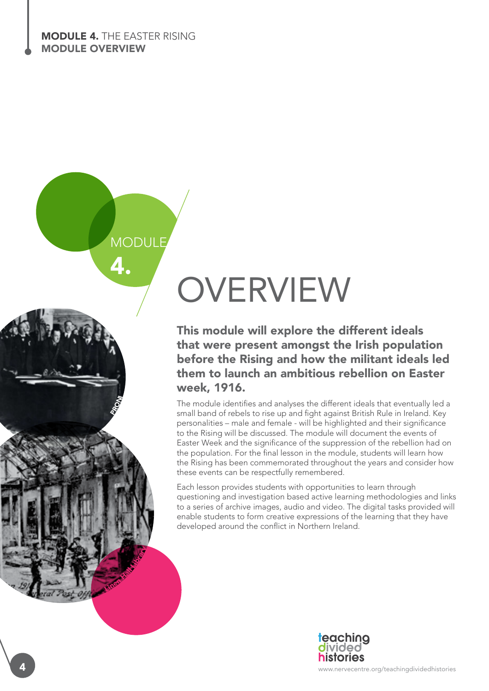4.

**PRONI** 

Linen Hall Library

**MODULE** 

# OVERVIEW

This module will explore the different ideals that were present amongst the Irish population before the Rising and how the militant ideals led them to launch an ambitious rebellion on Easter week, 1916.

The module identifies and analyses the different ideals that eventually led a small band of rebels to rise up and fight against British Rule in Ireland. Key personalities – male and female - will be highlighted and their significance to the Rising will be discussed. The module will document the events of Easter Week and the significance of the suppression of the rebellion had on the population. For the final lesson in the module, students will learn how the Rising has been commemorated throughout the years and consider how these events can be respectfully remembered.

Each lesson provides students with opportunities to learn through questioning and investigation based active learning methodologies and links to a series of archive images, audio and video. The digital tasks provided will enable students to form creative expressions of the learning that they have developed around the conflict in Northern Ireland.



www.nervecentre.org/teachingdividedhistories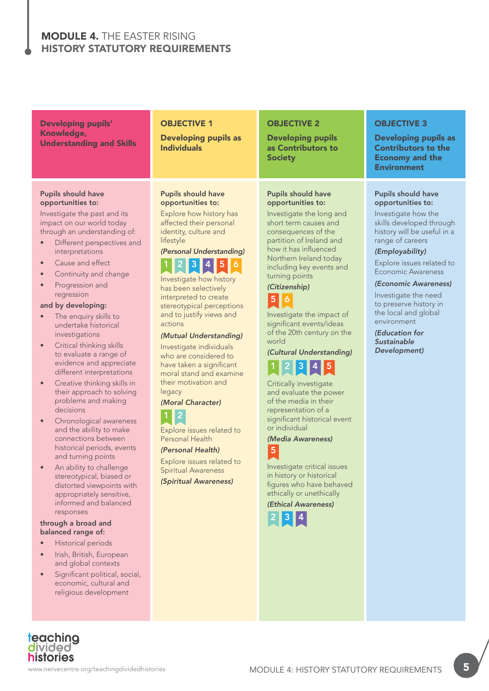# MODULE 4. THE EASTER RISING HISTORY STATUTORY REQUIREMENTS

Developing pupils' Knowledge, Understanding and Skills

#### Pupils should have opportunities to:

Investigate the past and its impact on our world today through an understanding of:

- Different perspectives and interpretations
- Cause and effect
- Continuity and change
- Progression and regression

#### and by developing:

- The enquiry skills to undertake historical investigations
- Critical thinking skills to evaluate a range of evidence and appreciate different interpretations
- Creative thinking skills in their approach to solving problems and making decisions
- Chronological awareness and the ability to make connections between historical periods, events and turning points
- An ability to challenge stereotypical, biased or distorted viewpoints with appropriately sensitive, informed and balanced responses

#### through a broad and balanced range of:

• Historical periods

teaching<br>divided **histories** 

- Irish, British, European and global contexts
- Significant political, social, economic, cultural and religious development

# **OBJECTIVE 1**

Developing pupils as Individuals

#### Pupils should have opportunities to:

Explore how history has affected their personal identity, culture and lifestyle

# *(Personal Understanding)*



Investigate how history has been selectively interpreted to create stereotypical perceptions and to justify views and actions

#### *(Mutual Understanding)*

Investigate individuals who are considered to have taken a significant moral stand and examine their motivation and legacy

#### *(Moral Character)*  $\overline{2}$

Explore issues related to Personal Health

*(Personal Health)* Explore issues related to Spiritual Awareness *(Spiritual Awareness)*

#### OBJECTIVE 2

Developing pupils as Contributors to **Society** 

#### Pupils should have opportunities to:

Investigate the long and short term causes and consequences of the partition of Ireland and how it has influenced Northern Ireland today including key events and turning points

#### *(Citizenship)* 5 6

Investigate the impact of significant events/ideas of the 20th century on the world

# *(Cultural Understanding)* 1 2 3 4 5

Critically investigate and evaluate the power of the media in their representation of a significant historical event or individual

*(Media Awareness)* 5

Investigate critical issues in history or historical figures who have behaved ethically or unethically

*(Ethical Awareness)*



# OBJECTIVE 3

Developing pupils as Contributors to the Economy and the **Environment** 

#### Pupils should have opportunities to:

Investigate how the skills developed through history will be useful in a range of careers

#### *(Employability)*

Explore issues related to Economic Awareness

#### *(Economic Awareness)*

Investigate the need to preserve history in the local and global environment

*(Education for Sustainable Development)*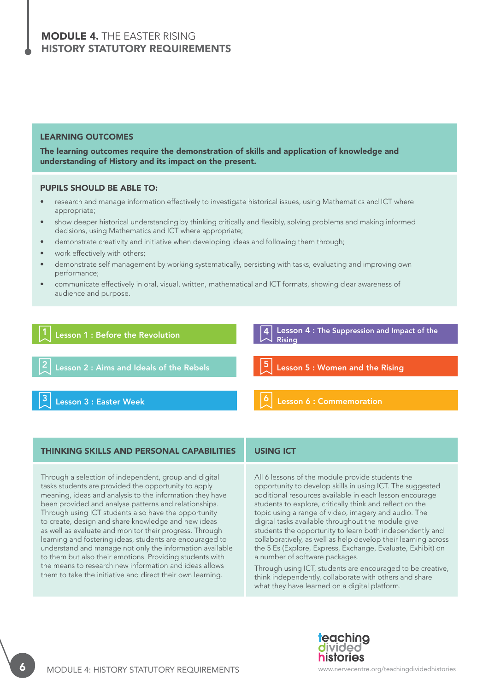# MODULE 4. THE EASTER RISING HISTORY STATUTORY REQUIREMENTS

#### LEARNING OUTCOMES

The learning outcomes require the demonstration of skills and application of knowledge and understanding of History and its impact on the present.

#### PUPILS SHOULD BE ABLE TO:

- research and manage information effectively to investigate historical issues, using Mathematics and ICT where appropriate;
- show deeper historical understanding by thinking critically and flexibly, solving problems and making informed decisions, using Mathematics and ICT where appropriate;
- demonstrate creativity and initiative when developing ideas and following them through;
- work effectively with others;
- demonstrate self management by working systematically, persisting with tasks, evaluating and improving own performance;
- communicate effectively in oral, visual, written, mathematical and ICT formats, showing clear awareness of audience and purpose.

#### Lesson 1 : Before the Revolution Lesson 4 : The Suppression and Impact of the Rising Lesson 2 : Aims and Ideals of the Rebels  $\begin{bmatrix} 5 \\ 2 \end{bmatrix}$  Lesson 5 : Women and the Rising Lesson 3 : Easter Week Lesson 6 : Commemoration 4 2 3 5 6

#### THINKING SKILLS AND PERSONAL CAPABILITIES USING ICT

Through a selection of independent, group and digital tasks students are provided the opportunity to apply meaning, ideas and analysis to the information they have been provided and analyse patterns and relationships. Through using ICT students also have the opportunity to create, design and share knowledge and new ideas as well as evaluate and monitor their progress. Through learning and fostering ideas, students are encouraged to understand and manage not only the information available to them but also their emotions. Providing students with the means to research new information and ideas allows them to take the initiative and direct their own learning.

All 6 lessons of the module provide students the opportunity to develop skills in using ICT. The suggested additional resources available in each lesson encourage students to explore, critically think and reflect on the topic using a range of video, imagery and audio. The digital tasks available throughout the module give students the opportunity to learn both independently and collaboratively, as well as help develop their learning across the 5 Es (Explore, Express, Exchange, Evaluate, Exhibit) on a number of software packages.

Through using ICT, students are encouraged to be creative, think independently, collaborate with others and share what they have learned on a digital platform.

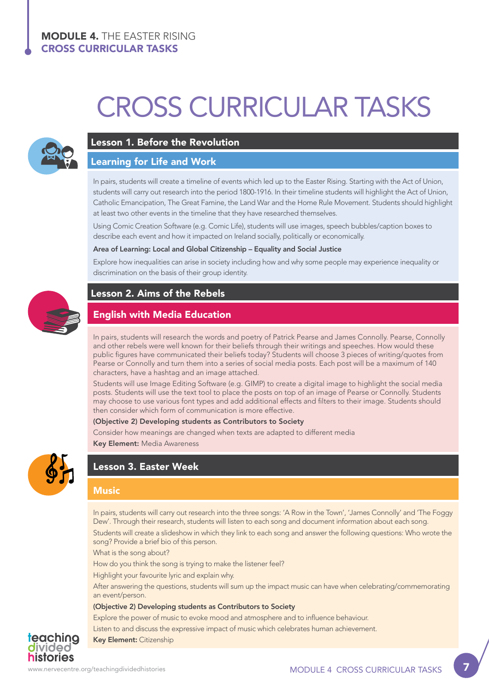# CROSS CURRICULAR TASKS



## Lesson 1. Before the Revolution

#### Learning for Life and Work

In pairs, students will create a timeline of events which led up to the Easter Rising. Starting with the Act of Union, students will carry out research into the period 1800-1916. In their timeline students will highlight the Act of Union, Catholic Emancipation, The Great Famine, the Land War and the Home Rule Movement. Students should highlight at least two other events in the timeline that they have researched themselves.

Using Comic Creation Software (e.g. Comic Life), students will use images, speech bubbles/caption boxes to describe each event and how it impacted on Ireland socially, politically or economically.

#### Area of Learning: Local and Global Citizenship – Equality and Social Justice

Explore how inequalities can arise in society including how and why some people may experience inequality or discrimination on the basis of their group identity.



# Lesson 2. Aims of the Rebels

# English with Media Education

In pairs, students will research the words and poetry of Patrick Pearse and James Connolly. Pearse, Connolly and other rebels were well known for their beliefs through their writings and speeches. How would these public figures have communicated their beliefs today? Students will choose 3 pieces of writing/quotes from Pearse or Connolly and turn them into a series of social media posts. Each post will be a maximum of 140 characters, have a hashtag and an image attached.

Students will use Image Editing Software (e.g. GIMP) to create a digital image to highlight the social media posts. Students will use the text tool to place the posts on top of an image of Pearse or Connolly. Students may choose to use various font types and add additional effects and filters to their image. Students should then consider which form of communication is more effective.

#### (Objective 2) Developing students as Contributors to Society

Consider how meanings are changed when texts are adapted to different media

Key Element: Media Awareness



# Lesson 3. Easter Week

#### **Music**

In pairs, students will carry out research into the three songs: 'A Row in the Town', 'James Connolly' and 'The Foggy Dew'. Through their research, students will listen to each song and document information about each song. Students will create a slideshow in which they link to each song and answer the following questions: Who wrote the song? Provide a brief bio of this person.

What is the song about?

How do you think the song is trying to make the listener feel?

Highlight your favourite lyric and explain why.

After answering the questions, students will sum up the impact music can have when celebrating/commemorating an event/person.

#### (Objective 2) Developing students as Contributors to Society

Explore the power of music to evoke mood and atmosphere and to influence behaviour.

Listen to and discuss the expressive impact of music which celebrates human achievement.

#### Key Element: Citizenship